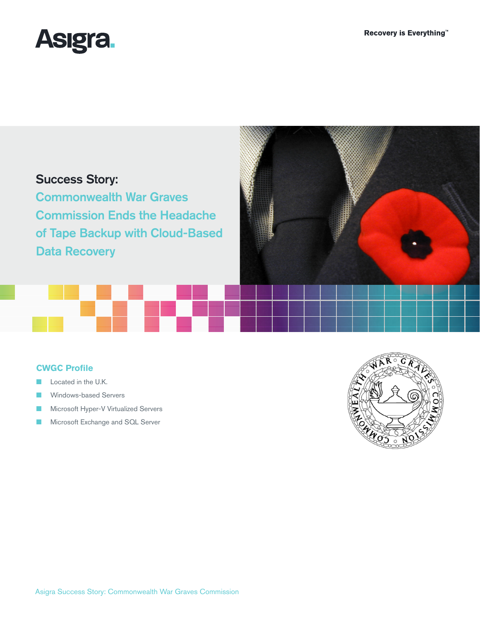

# Success Story:

Commonwealth War Graves Commission Ends the Headache of Tape Backup with Cloud-Based Data Recovery

# **CWGC Profile**

- Located in the U.K.
- Windows-based Servers
- Microsoft Hyper-V Virtualized Servers
- Microsoft Exchange and SQL Server

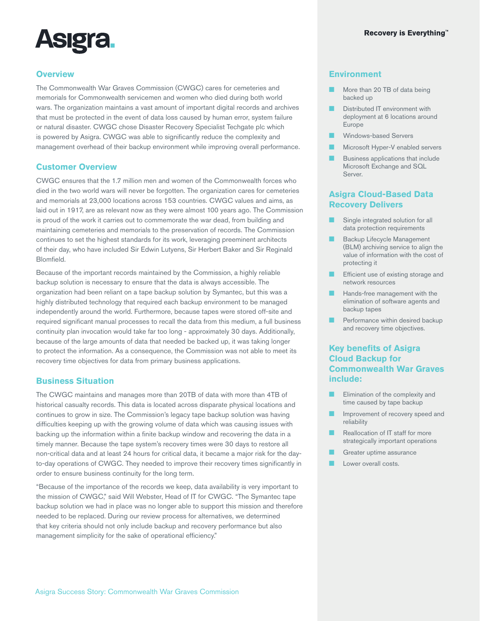

## **Overview**

The Commonwealth War Graves Commission (CWGC) cares for cemeteries and memorials for Commonwealth servicemen and women who died during both world wars. The organization maintains a vast amount of important digital records and archives that must be protected in the event of data loss caused by human error, system failure or natural disaster. CWGC chose Disaster Recovery Specialist Techgate plc which is powered by Asigra. CWGC was able to significantly reduce the complexity and management overhead of their backup environment while improving overall performance.

#### **Customer Overview**

CWGC ensures that the 1.7 million men and women of the Commonwealth forces who died in the two world wars will never be forgotten. The organization cares for cemeteries and memorials at 23,000 locations across 153 countries. CWGC values and aims, as laid out in 1917, are as relevant now as they were almost 100 years ago. The Commission is proud of the work it carries out to commemorate the war dead, from building and maintaining cemeteries and memorials to the preservation of records. The Commission continues to set the highest standards for its work, leveraging preeminent architects of their day, who have included Sir Edwin Lutyens, Sir Herbert Baker and Sir Reginald Blomfield.

Because of the important records maintained by the Commission, a highly reliable backup solution is necessary to ensure that the data is always accessible. The organization had been reliant on a tape backup solution by Symantec, but this was a highly distributed technology that required each backup environment to be managed independently around the world. Furthermore, because tapes were stored off-site and required significant manual processes to recall the data from this medium, a full business continuity plan invocation would take far too long - approximately 30 days. Additionally, because of the large amounts of data that needed be backed up, it was taking longer to protect the information. As a consequence, the Commission was not able to meet its recovery time objectives for data from primary business applications.

#### **Business Situation**

The CWGC maintains and manages more than 20TB of data with more than 4TB of historical casualty records. This data is located across disparate physical locations and continues to grow in size. The Commission's legacy tape backup solution was having difficulties keeping up with the growing volume of data which was causing issues with backing up the information within a finite backup window and recovering the data in a timely manner. Because the tape system's recovery times were 30 days to restore all non-critical data and at least 24 hours for critical data, it became a major risk for the dayto-day operations of CWGC. They needed to improve their recovery times significantly in order to ensure business continuity for the long term.

"Because of the importance of the records we keep, data availability is very important to the mission of CWGC," said Will Webster, Head of IT for CWGC. "The Symantec tape backup solution we had in place was no longer able to support this mission and therefore needed to be replaced. During our review process for alternatives, we determined that key criteria should not only include backup and recovery performance but also management simplicity for the sake of operational efficiency."

### **Environment**

- More than 20 TB of data being backed up
- Distributed IT environment with deployment at 6 locations around Europe
- Windows-based Servers
- Microsoft Hyper-V enabled servers
- Business applications that include Microsoft Exchange and SQL Server.

#### **Asigra Cloud-Based Data Recovery Delivers**

- Single integrated solution for all data protection requirements
- Backup Lifecycle Management (BLM) archiving service to align the value of information with the cost of protecting it
- Efficient use of existing storage and network resources
- **■** Hands-free management with the elimination of software agents and backup tapes
- **E** Performance within desired backup and recovery time objectives.

# **Key benefits of Asigra Cloud Backup for Commonwealth War Graves include:**

- Elimination of the complexity and time caused by tape backup
- Improvement of recovery speed and reliability
- Reallocation of IT staff for more strategically important operations
- Greater uptime assurance
- Lower overall costs.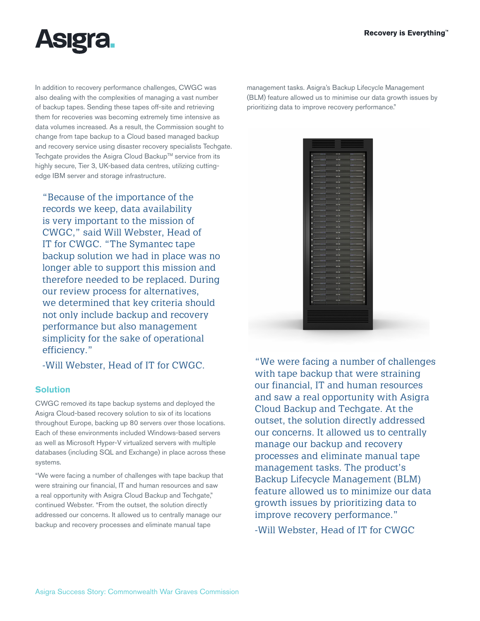

In addition to recovery performance challenges, CWGC was also dealing with the complexities of managing a vast number of backup tapes. Sending these tapes off-site and retrieving them for recoveries was becoming extremely time intensive as data volumes increased. As a result, the Commission sought to change from tape backup to a Cloud based managed backup and recovery service using disaster recovery specialists Techgate. Techgate provides the Asigra Cloud Backup™ service from its highly secure, Tier 3, UK-based data centres, utilizing cuttingedge IBM server and storage infrastructure.

"Because of the importance of the records we keep, data availability is very important to the mission of CWGC," said Will Webster, Head of IT for CWGC. "The Symantec tape backup solution we had in place was no longer able to support this mission and therefore needed to be replaced. During our review process for alternatives, we determined that key criteria should not only include backup and recovery performance but also management simplicity for the sake of operational efficiency."

# **Solution**

CWGC removed its tape backup systems and deployed the Asigra Cloud-based recovery solution to six of its locations throughout Europe, backing up 80 servers over those locations. Each of these environments included Windows-based servers as well as Microsoft Hyper-V virtualized servers with multiple databases (including SQL and Exchange) in place across these systems.

"We were facing a number of challenges with tape backup that were straining our financial, IT and human resources and saw a real opportunity with Asigra Cloud Backup and Techgate," continued Webster. "From the outset, the solution directly addressed our concerns. It allowed us to centrally manage our backup and recovery processes and eliminate manual tape

management tasks. Asigra's Backup Lifecycle Management (BLM) feature allowed us to minimise our data growth issues by prioritizing data to improve recovery performance."



-Will Webster, Head of IT for CWGC. "We were facing a number of challenges with tape backup that were straining our financial, IT and human resources and saw a real opportunity with Asigra Cloud Backup and Techgate. At the outset, the solution directly addressed our concerns. It allowed us to centrally manage our backup and recovery processes and eliminate manual tape management tasks. The product's Backup Lifecycle Management (BLM) feature allowed us to minimize our data growth issues by prioritizing data to improve recovery performance." -Will Webster, Head of IT for CWGC